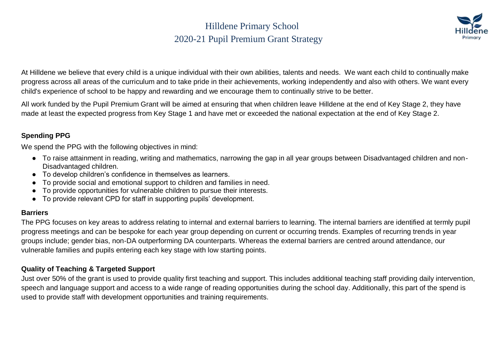### Hilldene Primary School 2020-21 Pupil Premium Grant Strategy



At Hilldene we believe that every child is a unique individual with their own abilities, talents and needs. We want each child to continually make progress across all areas of the curriculum and to take pride in their achievements, working independently and also with others. We want every child's experience of school to be happy and rewarding and we encourage them to continually strive to be better.

All work funded by the Pupil Premium Grant will be aimed at ensuring that when children leave Hilldene at the end of Key Stage 2, they have made at least the expected progress from Key Stage 1 and have met or exceeded the national expectation at the end of Key Stage 2.

#### **Spending PPG**

We spend the PPG with the following objectives in mind:

- To raise attainment in reading, writing and mathematics, narrowing the gap in all year groups between Disadvantaged children and non-Disadvantaged children.
- To develop children's confidence in themselves as learners.
- To provide social and emotional support to children and families in need.
- To provide opportunities for vulnerable children to pursue their interests.
- To provide relevant CPD for staff in supporting pupils' development.

#### **Barriers**

The PPG focuses on key areas to address relating to internal and external barriers to learning. The internal barriers are identified at termly pupil progress meetings and can be bespoke for each year group depending on current or occurring trends. Examples of recurring trends in year groups include; gender bias, non-DA outperforming DA counterparts. Whereas the external barriers are centred around attendance, our vulnerable families and pupils entering each key stage with low starting points.

#### **Quality of Teaching & Targeted Support**

Just over 50% of the grant is used to provide quality first teaching and support. This includes additional teaching staff providing daily intervention, speech and language support and access to a wide range of reading opportunities during the school day. Additionally, this part of the spend is used to provide staff with development opportunities and training requirements.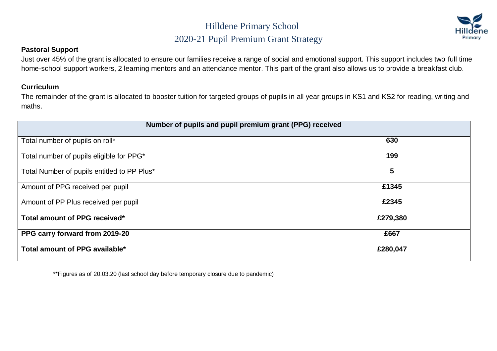### Hilldene Primary School 2020-21 Pupil Premium Grant Strategy



#### **Pastoral Support**

Just over 45% of the grant is allocated to ensure our families receive a range of social and emotional support. This support includes two full time home-school support workers, 2 learning mentors and an attendance mentor. This part of the grant also allows us to provide a breakfast club.

#### **Curriculum**

The remainder of the grant is allocated to booster tuition for targeted groups of pupils in all year groups in KS1 and KS2 for reading, writing and maths.

| Number of pupils and pupil premium grant (PPG) received |          |  |  |
|---------------------------------------------------------|----------|--|--|
| Total number of pupils on roll*                         | 630      |  |  |
| Total number of pupils eligible for PPG*                | 199      |  |  |
| Total Number of pupils entitled to PP Plus*             | 5        |  |  |
| Amount of PPG received per pupil                        | £1345    |  |  |
| Amount of PP Plus received per pupil                    | £2345    |  |  |
| Total amount of PPG received*                           | £279,380 |  |  |
| PPG carry forward from 2019-20                          | £667     |  |  |
| Total amount of PPG available*                          | £280,047 |  |  |

\*\*Figures as of 20.03.20 (last school day before temporary closure due to pandemic)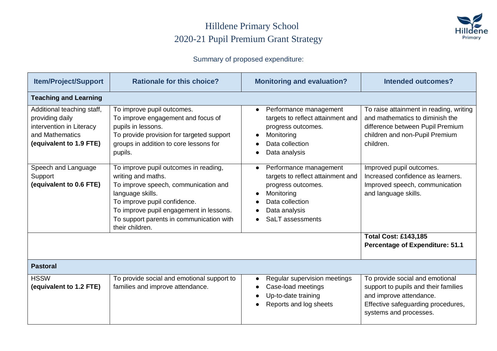### Hilldene Primary School 2020-21 Pupil Premium Grant Strategy



### Summary of proposed expenditure:

| <b>Item/Project/Support</b>                                                                                             | <b>Rationale for this choice?</b>                                                                                                                                                                                                                                 | <b>Monitoring and evaluation?</b>                                                                                                                       | <b>Intended outcomes?</b>                                                                                                                                          |  |
|-------------------------------------------------------------------------------------------------------------------------|-------------------------------------------------------------------------------------------------------------------------------------------------------------------------------------------------------------------------------------------------------------------|---------------------------------------------------------------------------------------------------------------------------------------------------------|--------------------------------------------------------------------------------------------------------------------------------------------------------------------|--|
| <b>Teaching and Learning</b>                                                                                            |                                                                                                                                                                                                                                                                   |                                                                                                                                                         |                                                                                                                                                                    |  |
| Additional teaching staff,<br>providing daily<br>intervention in Literacy<br>and Mathematics<br>(equivalent to 1.9 FTE) | To improve pupil outcomes.<br>To improve engagement and focus of<br>pupils in lessons.<br>To provide provision for targeted support<br>groups in addition to core lessons for<br>pupils.                                                                          | Performance management<br>$\bullet$<br>targets to reflect attainment and<br>progress outcomes.<br>Monitoring<br>Data collection<br>Data analysis        | To raise attainment in reading, writing<br>and mathematics to diminish the<br>difference between Pupil Premium<br>children and non-Pupil Premium<br>children.      |  |
| Speech and Language<br>Support<br>(equivalent to 0.6 FTE)                                                               | To improve pupil outcomes in reading,<br>writing and maths.<br>To improve speech, communication and<br>language skills.<br>To improve pupil confidence.<br>To improve pupil engagement in lessons.<br>To support parents in communication with<br>their children. | Performance management<br>targets to reflect attainment and<br>progress outcomes.<br>Monitoring<br>Data collection<br>Data analysis<br>SaLT assessments | Improved pupil outcomes.<br>Increased confidence as learners.<br>Improved speech, communication<br>and language skills.                                            |  |
|                                                                                                                         |                                                                                                                                                                                                                                                                   |                                                                                                                                                         | <b>Total Cost: £143,185</b><br><b>Percentage of Expenditure: 51.1</b>                                                                                              |  |
| <b>Pastoral</b>                                                                                                         |                                                                                                                                                                                                                                                                   |                                                                                                                                                         |                                                                                                                                                                    |  |
| <b>HSSW</b><br>(equivalent to 1.2 FTE)                                                                                  | To provide social and emotional support to<br>families and improve attendance.                                                                                                                                                                                    | Regular supervision meetings<br>Case-load meetings<br>Up-to-date training<br>Reports and log sheets                                                     | To provide social and emotional<br>support to pupils and their families<br>and improve attendance.<br>Effective safeguarding procedures,<br>systems and processes. |  |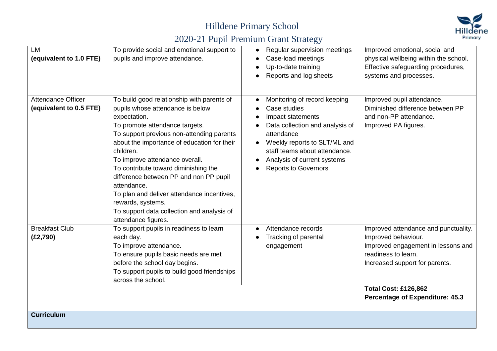## Hilldene Primary School



# 2020-21 Pupil Premium Grant Strategy

| LM<br>(equivalent to 1.0 FTE)                        | To provide social and emotional support to<br>pupils and improve attendance.                                                                                                                                                                                                                                                                                                                                                                                                                                         | Regular supervision meetings<br>Case-load meetings<br>Up-to-date training<br>Reports and log sheets                                                                                                                                               | Improved emotional, social and<br>physical wellbeing within the school.<br>Effective safeguarding procedures,<br>systems and processes.                                                                                             |  |
|------------------------------------------------------|----------------------------------------------------------------------------------------------------------------------------------------------------------------------------------------------------------------------------------------------------------------------------------------------------------------------------------------------------------------------------------------------------------------------------------------------------------------------------------------------------------------------|---------------------------------------------------------------------------------------------------------------------------------------------------------------------------------------------------------------------------------------------------|-------------------------------------------------------------------------------------------------------------------------------------------------------------------------------------------------------------------------------------|--|
| <b>Attendance Officer</b><br>(equivalent to 0.5 FTE) | To build good relationship with parents of<br>pupils whose attendance is below<br>expectation.<br>To promote attendance targets.<br>To support previous non-attending parents<br>about the importance of education for their<br>children.<br>To improve attendance overall.<br>To contribute toward diminishing the<br>difference between PP and non PP pupil<br>attendance.<br>To plan and deliver attendance incentives,<br>rewards, systems.<br>To support data collection and analysis of<br>attendance figures. | Monitoring of record keeping<br>Case studies<br>Impact statements<br>Data collection and analysis of<br>attendance<br>Weekly reports to SLT/ML and<br>staff teams about attendance.<br>Analysis of current systems<br><b>Reports to Governors</b> | Improved pupil attendance.<br>Diminished difference between PP<br>and non-PP attendance.<br>Improved PA figures.                                                                                                                    |  |
| <b>Breakfast Club</b><br>(E2,790)                    | To support pupils in readiness to learn<br>each day.<br>To improve attendance.<br>To ensure pupils basic needs are met<br>before the school day begins.<br>To support pupils to build good friendships<br>across the school.                                                                                                                                                                                                                                                                                         | Attendance records<br>Tracking of parental<br>engagement                                                                                                                                                                                          | Improved attendance and punctuality.<br>Improved behaviour.<br>Improved engagement in lessons and<br>readiness to learn.<br>Increased support for parents.<br><b>Total Cost: £126,862</b><br><b>Percentage of Expenditure: 45.3</b> |  |
| <b>Curriculum</b>                                    |                                                                                                                                                                                                                                                                                                                                                                                                                                                                                                                      |                                                                                                                                                                                                                                                   |                                                                                                                                                                                                                                     |  |